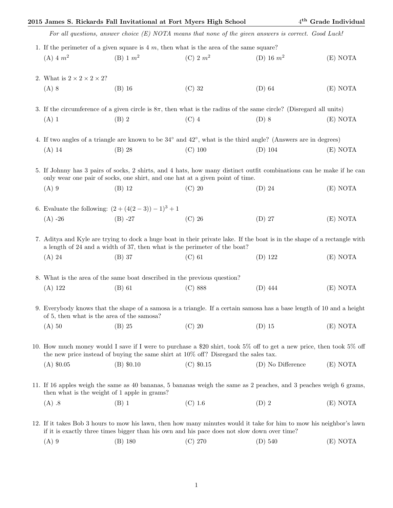## 2015 James S. Rickards Fall Invitational at Fort Myers High School 4 4<sup>th</sup> Grade Individual For all questions, answer choice  $(E)$  NOTA means that none of the given answers is correct. Good Luck! 1. If the perimeter of a given square is  $4 \, m$ , then what is the area of the same square?  $(A)$  4  $m<sup>2</sup>$  $(B) 1 m<sup>2</sup>$  $(C)$  2  $m<sup>2</sup>$ (D) 16  $m^2$ (E) NOTA

2. What is  $2 \times 2 \times 2 \times 2$ ?

- (A) 8 (B) 16 (C) 32 (D) 64 (E) NOTA 3. If the circumference of a given circle is  $8\pi$ , then what is the radius of the same circle? (Disregard all units) (A) 1 (B) 2 (C) 4 (D) 8 (E) NOTA 4. If two angles of a triangle are known to be  $34°$  and  $42°$ , what is the third angle? (Answers are in degrees) (A) 14 (B) 28 (C) 100 (D) 104 (E) NOTA 5. If Johnny has 3 pairs of socks, 2 shirts, and 4 hats, how many distinct outfit combinations can he make if he can only wear one pair of socks, one shirt, and one hat at a given point of time. (A) 9 (B) 12 (C) 20 (D) 24 (E) NOTA 6. Evaluate the following:  $(2 + (4(2-3)) - 1)^3 + 1$ (A) -26 (B) -27 (C) 26 (D) 27 (E) NOTA 7. Aditya and Kyle are trying to dock a huge boat in their private lake. If the boat is in the shape of a rectangle with a length of 24 and a width of 37, then what is the perimeter of the boat?
	- (A) 24 (B) 37 (C) 61 (D) 122 (E) NOTA

8. What is the area of the same boat described in the previous question? (A) 122 (B) 61 (C) 888 (D) 444 (E) NOTA

- 9. Everybody knows that the shape of a samosa is a triangle. If a certain samosa has a base length of 10 and a height of 5, then what is the area of the samosa?
	- (A) 50 (B) 25 (C) 20 (D) 15 (E) NOTA
- 10. How much money would I save if I were to purchase a \$20 shirt, took 5% off to get a new price, then took 5% off the new price instead of buying the same shirt at 10% off? Disregard the sales tax.
	- (A) \$0.05 (B) \$0.10 (C) \$0.15 (D) No Difference (E) NOTA
- 11. If 16 apples weigh the same as 40 bananas, 5 bananas weigh the same as 2 peaches, and 3 peaches weigh 6 grams, then what is the weight of 1 apple in grams?
	- (A) .8 (B) 1 (C) 1.6 (D) 2 (E) NOTA
- 12. If it takes Bob 3 hours to mow his lawn, then how many minutes would it take for him to mow his neighbor's lawn if it is exactly three times bigger than his own and his pace does not slow down over time?
	- (A) 9 (B) 180 (C) 270 (D) 540 (E) NOTA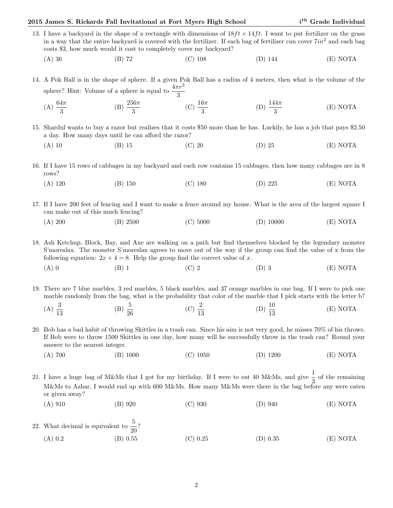## 2015 James S. Rickards Fall Invitational at Fort Myers High School 4

- 13. I have a backyard in the shape of a rectangle with dimensions of  $18 ft \times 14 ft$ . I want to put fertilizer on the grass in a way that the entire backyard is covered with the fertilizer. If each bag of fertilizer can cover  $7in^2$  and each bag costs \$3, how much would it cost to completely cover my backyard?
	- (A) 36 (B) 72 (C) 108 (D) 144 (E) NOTA

14. A Pok Ball is in the shape of sphere. If a given Pok Ball has a radius of 4 meters, then what is the volume of the sphere? Hint: Volume of a sphere is equal to  $\frac{4\pi r^3}{3}$ 

- (A)  $\frac{64\pi}{3}$ (B)  $\frac{256\pi}{3}$  (C)  $\frac{16\pi}{3}$ (D)  $\frac{144\pi}{3}$ (E) NOTA
- 15. Shardul wants to buy a razor but realizes that it costs \$50 more than he has. Luckily, he has a job that pays \$2.50 a day. How many days until he can afford the razor?
	- (A) 10 (B) 15 (C) 20 (D) 25 (E) NOTA
- 16. If I have 15 rows of cabbages in my backyard and each row contains 15 cabbages, then how many cabbages are in 8 rows?
	- (A) 120 (B) 150 (C) 180 (D) 225 (E) NOTA
- 17. If I have 200 feet of fencing and I want to make a fence around my house. What is the area of the largest square I can make out of this much fencing?
	- (A) 200 (B) 2500 (C) 5000 (D) 10000 (E) NOTA

18. Ash Ketchup, Block, Bay, and Axe are walking on a path but find themselves blocked by the legendary monster S'moreslax. The monster S'moreslax agrees to move out of the way if the group can find the value of x from the following equation:  $2x + 4 = 8$ . Help the group find the correct value of x.

- (A) 0 (B) 1 (C) 2 (D) 3 (E) NOTA
- 19. There are 7 blue marbles, 3 red marbles, 5 black marbles, and 37 orange marbles in one bag. If I were to pick one marble randomly from the bag, what is the probability that color of the marble that I pick starts with the letter b?
	- (A)  $\frac{3}{13}$ (B)  $\frac{5}{26}$ (C)  $\frac{2}{13}$ (D)  $\frac{10}{13}$ (E) NOTA
- 20. Bob has a bad habit of throwing Skittles in a trash can. Since his aim is not very good, he misses 70% of his throws. If Bob were to throw 1500 Skittles in one day, how many will he successfully throw in the trash can? Round your answer to the nearest integer.
	- (A) 700 (B) 1000 (C) 1050 (D) 1200 (E) NOTA

21. I have a huge bag of M&Ms that I got for my birthday. If I were to eat 40 M&Ms, and give  $\frac{1}{3}$  of the remaining M&Ms to Azhar, I would end up with 600 M&Ms. How many M&Ms were there in the bag before any were eaten or given away?

- (A) 910 (B) 920 (C) 930 (D) 940 (E) NOTA
- 22. What decimal is equivalent to  $\frac{5}{20}$ ? (A) 0.2 (B) 0.55 (C) 0.25 (D) 0.35 (E) NOTA